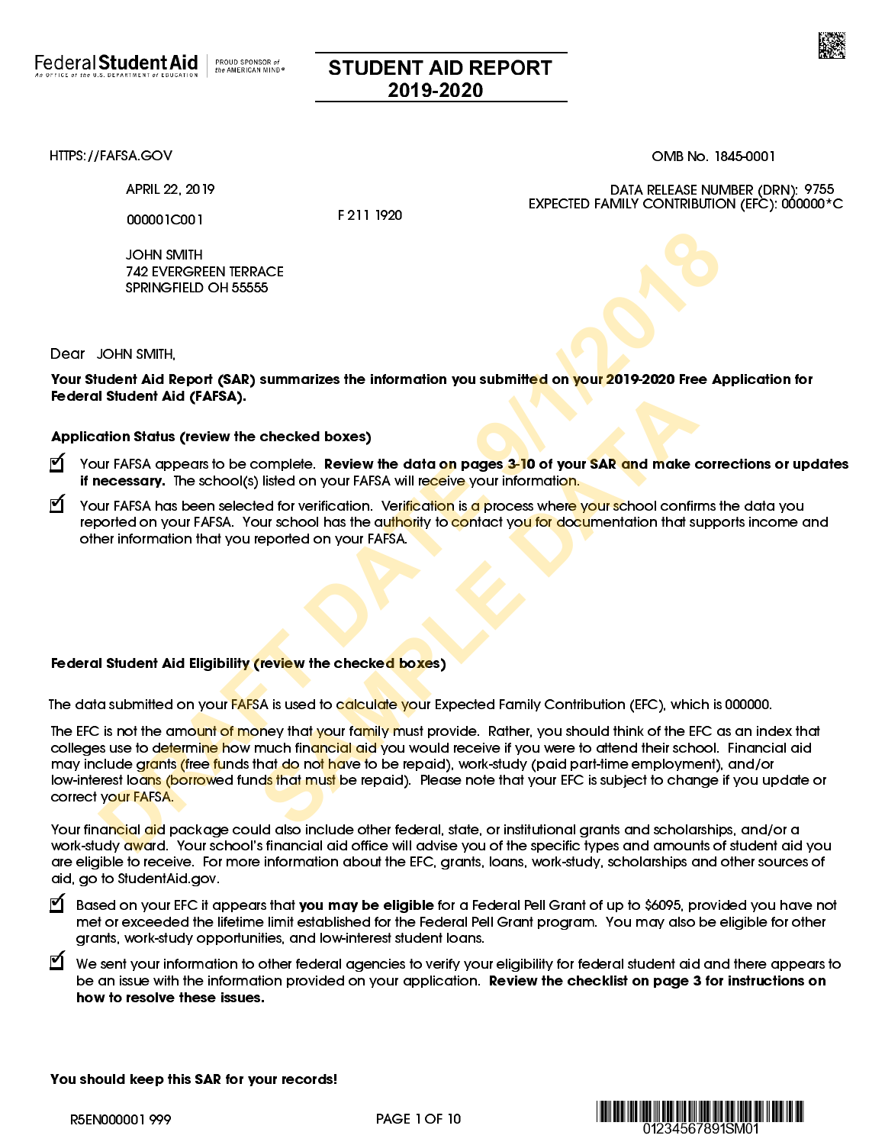

## STUDENT AID REPORT 2019-2020

[HTTPS://FAFSA.GOV](https://fafsa.gov) OMB No. 1845-0001

APRIL 22, 2019

000001C001

F 211 1920

JOHN SMITH 742 EVERGREEN TERRACE SPRINGFIELD OH 55555

DATA RELEASE NUMBER (DRN): 9755 EXPECTED FAMILY CONTRIBUTION (EFC): 000000\*C

Dear JOHN SMITH,

Your Student Aid Report (SAR) summarizes the information you submitted on your 2019-2020 Free Application for Federal Student Aid (FAFSA).

#### Application Status (review the checked boxes)

- **1** Your FAFSA appears to be complete. Review the data on pages <mark>3-1</mark>0 of your SAR and make corrections or updates if necessary. The school(s) listed on your FAFSA will receive your information.
- **1** Your FAFSA has been selected for verification. Ver<mark>ification</mark> is a process where your school confirms the data you reported on your FAFSA. Your school has the authority to contact you for documentation that supports income and other information that you reported on your FAFSA.

#### Federal Student Aid Eligibility (review the checked boxes)

The data submitted on your FAFSA is used to calculate your Expected Family Contribution (EFC), which is 000000.

The EFC is not the amo<mark>unt of mo</mark>ney that your family must provide. Rather, you should think of the EFC as an index that colleges use to determine how much financial aid you would receive if you were to attend their school. Financial aid may include gr<mark>ants (free fu</mark>nds that do no<mark>t ha</mark>ve to be repaid), work-study (paid part-time employment), and/or low-interest loa<mark>ns (borro</mark>wed fund<mark>s that must</mark> be repaid). Please note that your EFC is subject to change if you update or correct your FAFSA. JOHN SMITH<br><sup>7</sup>22 EVERGREEN TERRACE<br>SPRINGFIELD OH 55555<br>SPRINGFIELD OH 55555<br>SPRINGFIELD OH 55555<br>SPRINGFIELD OH 55555<br>Math AId (**RAFSA**).<br>Internal Add Report (SAR) summarizes the information you submitted on your 2019-202 checked boxes)<br>
somplete. Review the data on pages 3-10 of your SAR and make a<br>
listed on your FAFSA will receive your information.<br>
Second for verification. Verification is a process where your school confirm<br>
second on y

Your financial aid package could also include other federal, state, or institutional grants and scholarships, and/or a work-study award. Your school's financial aid office will advise you of the specific types and amounts of student aid you are eligible to receive. For more information about the EFC, grants, loans, work-study, scholarships and other sources of aid, go to [StudentAid.gov.](https://studentaid.gov)

) Based on your EFC it appears that you may be eligible for a Federal Pell Grant of up to \$6095, provided you have not met or exceeded the lifetime limit established for the Federal Pell Grant program. You may also be eligible for other grants, work-study opportunities, and low-interest student loans.

 $\bm{\mathbb{C}}$  We sent your information to other federal agencies to verify your eligibility for federal student aid and there appears to be an issue with the information provided on your application. Review the checklist on page 3 for instructions on how to resolve these issues.

You should keep this SAR for your records!

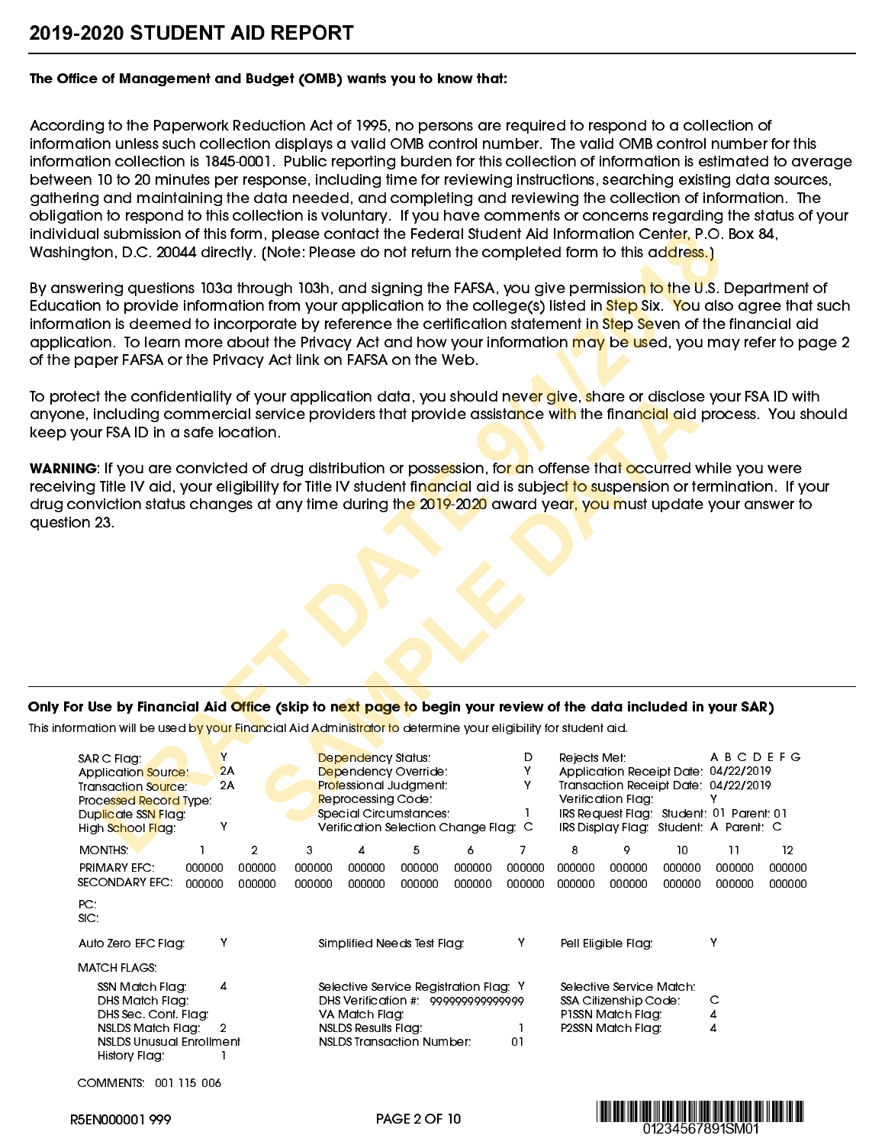#### The Office of Management and Budget (OMB) wants you to know that:

According to the Paperwork Reduction Act of 1995, no persons are required to respond to a collection of information unless such collection displays a valid OMB control number. The valid OMB control number for this information collection is 1845-0001. Public reporting burden for this collection of information is estimated to average between 10 to 20 minutes per response, including time for reviewing instructions, searching existing data sources, gathering and maintaining the data needed, and completing and reviewing the collection of information. The obligation to respond to this collection is voluntary. If you have comments or concerns regarding the status of your individual submission of this form, please contact the Federal Student Aid Information Center, P.O. Box 84, Washington, D.C. 20044 directly. (Note: Please do not return the completed form to this ad<mark>dress.)</mark>

### Only For Use by Financial Aid Office (skip to next page to begin your review of the data included in your SAR)

This information will be used by your Financial Aid Administrator to determine your eligibility for student aid.

| dual submission of this form, please contact the Federal Student Aid Information Center, P.O. Box 84,<br>ington, D.C. 20044 directly. (Note: Please do not return the completed form to this ad <mark>dress.)</mark>                                                                                                                                                                                                                                                                                                                                                            |                                                                                                                                                                   |                                                                                                                                                                                |                                                  |
|---------------------------------------------------------------------------------------------------------------------------------------------------------------------------------------------------------------------------------------------------------------------------------------------------------------------------------------------------------------------------------------------------------------------------------------------------------------------------------------------------------------------------------------------------------------------------------|-------------------------------------------------------------------------------------------------------------------------------------------------------------------|--------------------------------------------------------------------------------------------------------------------------------------------------------------------------------|--------------------------------------------------|
| iswering questions 103a through 103h, and signing the FAFSA, you give permissio <mark>n to t</mark> he U.S. Department of<br>ation to provide information from your application to the college(s) listed in <mark>Step</mark> Six. You also agree that such<br>nation is deemed to incorporate by reference the certification statement in <mark>Ste</mark> p Seven of the financial aid<br>cation. To learn more about the Privacy Act and how your information <mark>may be use</mark> d, you may refer to page 2<br>paper FAFSA or the Privacy Act link on FAFSA on the Web. |                                                                                                                                                                   |                                                                                                                                                                                |                                                  |
| otect the confidentiality of your application data, you should nev <mark>er gi</mark> ve <mark>, s</mark> hare or disclose your FSA ID with<br>ne, including commercial service providers that provide assista <mark>n</mark> ce w <mark>ith</mark> the finan <mark>cial ai</mark> d process. You should<br>your FSA ID in a safe location.                                                                                                                                                                                                                                     |                                                                                                                                                                   |                                                                                                                                                                                |                                                  |
| <b>IING</b> : If you are convicted of drug distribution or poss <mark>e</mark> ssion, fo <mark>r a</mark> n offense that <mark>o</mark> ccurred while you were<br>ving Title IV aid, your eligibility for Title IV student fin <mark>ancia</mark> l aid is subjec <mark>t to su</mark> spension or termination.  If your<br>conviction status changes at any time during the 2019-2020 award yea <mark>r, you m</mark> ust update your answer to<br>ion 23.                                                                                                                     |                                                                                                                                                                   |                                                                                                                                                                                |                                                  |
|                                                                                                                                                                                                                                                                                                                                                                                                                                                                                                                                                                                 |                                                                                                                                                                   |                                                                                                                                                                                |                                                  |
|                                                                                                                                                                                                                                                                                                                                                                                                                                                                                                                                                                                 |                                                                                                                                                                   |                                                                                                                                                                                |                                                  |
|                                                                                                                                                                                                                                                                                                                                                                                                                                                                                                                                                                                 |                                                                                                                                                                   |                                                                                                                                                                                |                                                  |
| <sup>:</sup> or Use by Financial Aid <mark>Offi</mark> ce (skip to n <mark>ext page t</mark> o begin your review of the data included in your SAR)<br>ormation will be used b <mark>y your Finan</mark> cial Aid Adminis <mark>trator to</mark> determine your eligibility for student aid.                                                                                                                                                                                                                                                                                     |                                                                                                                                                                   |                                                                                                                                                                                |                                                  |
| Y<br>SAR C Flag:<br>2A<br><b>Application Source:</b><br>2A<br><b>Transaction Source:</b><br>Processed Record Type:                                                                                                                                                                                                                                                                                                                                                                                                                                                              | Dependency Status:<br>Dependency Override:<br>Professional Judgment:<br>Reprocessing Code:<br>Special Circumstances:                                              | Rejects Met:<br>D<br>Y<br>Application Receipt Date: 04/22/2019<br>Transaction Receipt Date: 04/22/2019<br>Y.<br>Verification Flag:<br>IRS Request Flag: Student: 01 Parent: 01 | ABCDEFG<br>Y                                     |
| Duplicate SSN Flag:<br>High School Flag:                                                                                                                                                                                                                                                                                                                                                                                                                                                                                                                                        | Verification Selection Change Flag: C                                                                                                                             | IRS Display Flag: Student: A Parent: C                                                                                                                                         |                                                  |
| <b>MONTHS</b><br>2<br>PRIMARY EFC.<br>000000<br>000000<br>SECONDARY EFC.<br>000000<br>000000                                                                                                                                                                                                                                                                                                                                                                                                                                                                                    | 3<br>5<br>000000<br>000000<br>000000<br>000000<br>000000<br>000000<br>000000<br>000000                                                                            | 7<br>10<br>000000<br>000000<br>000000<br>000000<br>000000<br>000000<br>000000<br>000000                                                                                        | 12<br>11<br>000000<br>000000<br>000000<br>000000 |
| PC.<br>SC:                                                                                                                                                                                                                                                                                                                                                                                                                                                                                                                                                                      |                                                                                                                                                                   |                                                                                                                                                                                |                                                  |
| Y<br>Auto Zero EFC Flag:                                                                                                                                                                                                                                                                                                                                                                                                                                                                                                                                                        | Simplified Needs Test Flag:                                                                                                                                       | Y<br>Pell Eligible Flag:                                                                                                                                                       | Y                                                |
| MATCH FLAGS:                                                                                                                                                                                                                                                                                                                                                                                                                                                                                                                                                                    |                                                                                                                                                                   |                                                                                                                                                                                |                                                  |
| SSN Match Flag:<br>4<br>DHS Match Flag:<br>DHS Sec. Conf. Flag:<br>NSLDS Match Flag:<br>2<br><b>NSLDS Unusual Enrollment</b><br>History Flag:                                                                                                                                                                                                                                                                                                                                                                                                                                   | Selective Service Registration Flag: Y<br>DHS Verification #: 999999999999999<br>VA Match Flag:<br><b>NSLDS Results Flag:</b><br><b>NSLDS Transaction Number:</b> | Selective Service Match:<br>SSA Citizenship Code:<br>PISSN Match Flag:<br>P2SSN Match Flag:<br>1<br>01                                                                         | С<br>4<br>4                                      |

COMMENTS: 001 115 006

R5EN000001 999

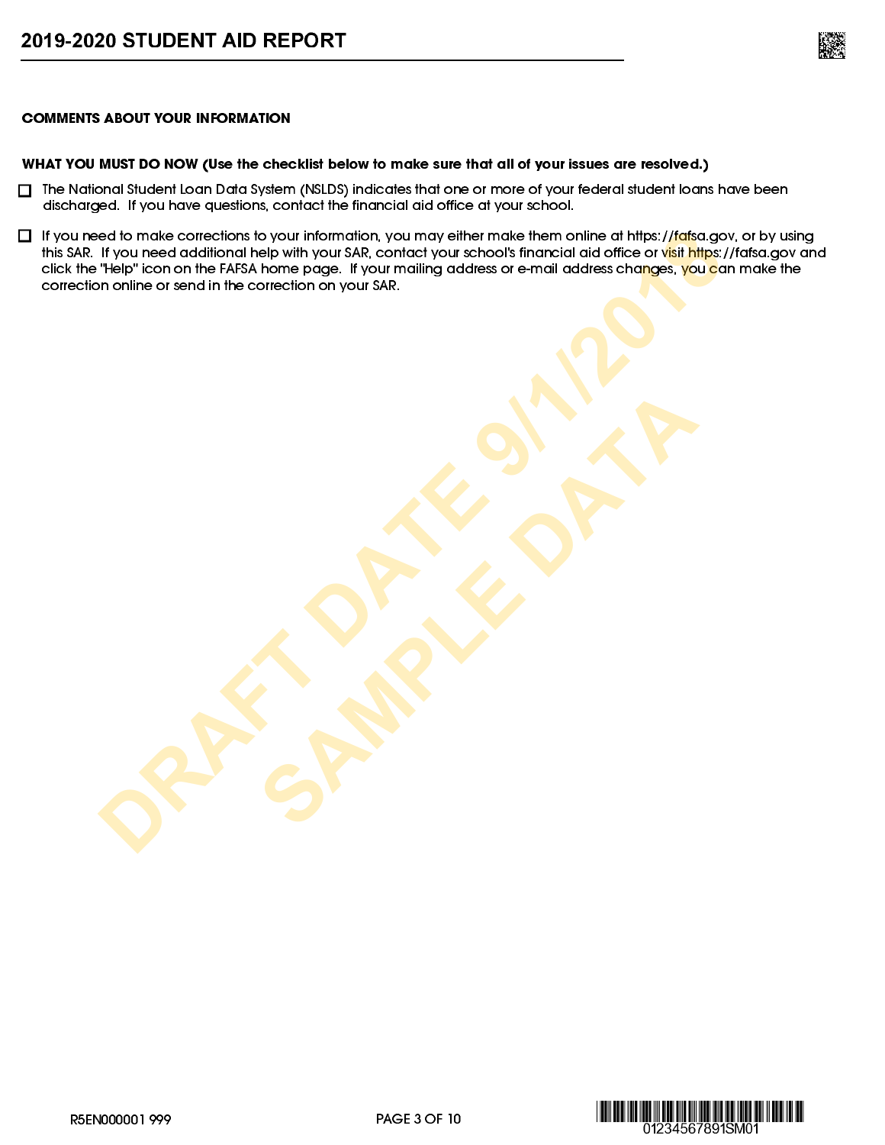

#### COMMENTS ABOUT YOUR INFORMATION

#### WHAT YOU MUST DO NOW (Use the checklist below to make sure that all of your issues are resolved.)

- $\Box$  The National Student Loan Data System (NSLDS) indicates that one or more of your federal student loans have been discharged. If you have questions, contact the financial aid office at your school.
- $\Box$  If you need to make corrections to your information, you may either make them online at https://fafsa.gov, or by using this SAR. If you need additional help with your SAR, contact your school's financial aid office or visit<https://fafsa.gov>and click the "Help" icon on the FAFSA home page. If your mailing address or e-mail address changes, you can make the correction online or send in the correction on your SAR. **DRAFT DATES VOID INCOMING IN VIOLATION**<br>
If you need additional help with your SAP, contectly our schools financial and office or which the finance of<br>
The price on on the FAFA home page. If your mailing address or e-mail

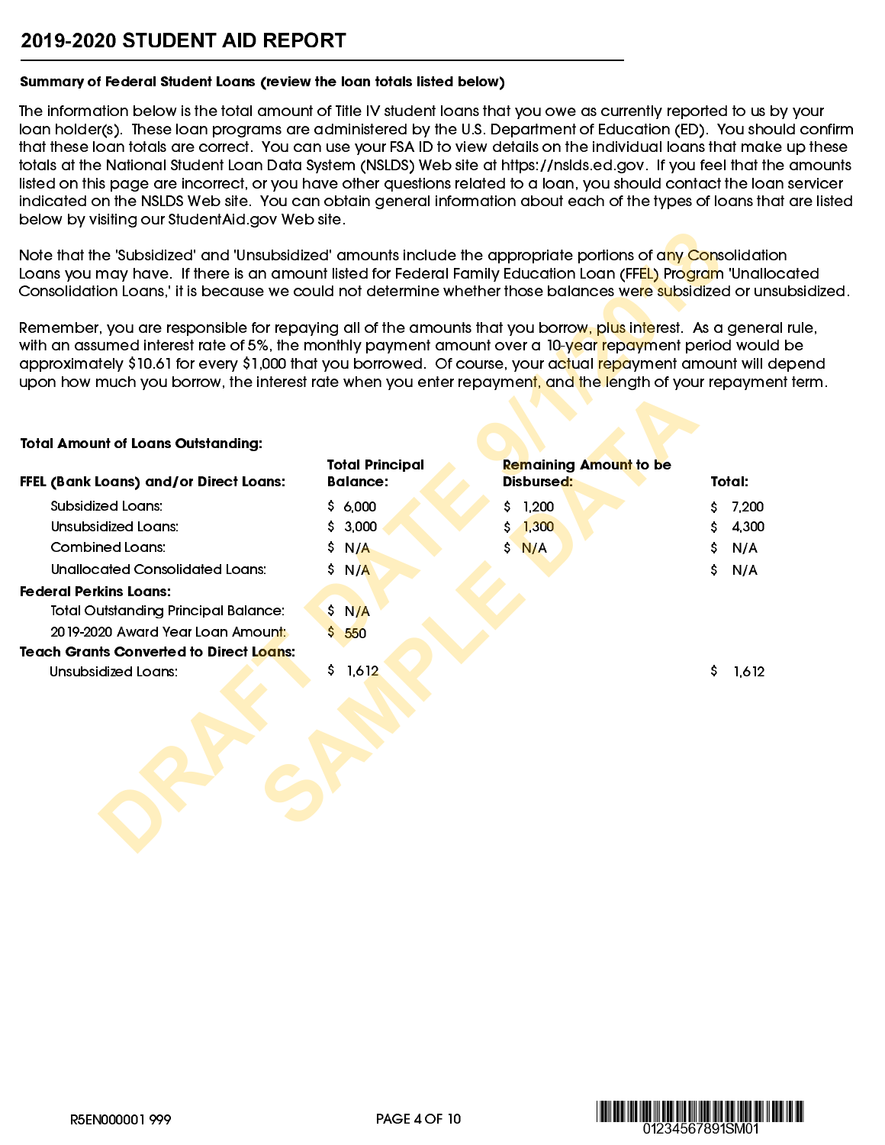# 2019-2020 STUDENT AID REPORT

#### Summary of Federal Student Loans (review the loan totals listed below)

The information below is the total amount of Title IV student loans that you owe as currently reported to us by your loan holder(s). These loan programs are administered by the U.S. Department of Education (ED). You should confirm that these loan totals are correct. You can use your FSA ID to view details on the individual loans that make up these totals at the National Student Loan Data System (NSLDS) Web site at [https://nslds.ed.gov.](https://nslds.ed.gov) If you feel that the amounts listed on this page are incorrect, or you have other questions related to a loan, you should contact the loan servicer indicated on the NSLDS Web site. You can obtain general information about each of the types of loans that are listed below by visiting our [StudentAid.gov](https://studentaid.gov) Web site.

#### Total Amount of Loans Outstanding:

| Note that the 'Subsidized' and 'Unsubsidized' amounts include the appropriate portions of any Consolidation<br>Loans you may have. If there is an amount listed for Federal Family Education Loan (FFEL) Program 'Unallocated<br>Consolidation Loans,' it is because we could not determine whether those balances were subsidized or unsubsidized.                                                                                                                          |                        |                               |             |
|------------------------------------------------------------------------------------------------------------------------------------------------------------------------------------------------------------------------------------------------------------------------------------------------------------------------------------------------------------------------------------------------------------------------------------------------------------------------------|------------------------|-------------------------------|-------------|
| Remember, you are responsible for repaying all of the amounts that you borrow, plus interest. As a general rule,<br>with an assumed interest rate of 5%, the monthly payment amount over a 10-year repayment period would be<br>approximately \$10.61 for every \$1,000 that you borrowed. Of course, your actual <mark>repa</mark> yment amount will depend<br>upon how much you borrow, the interest rate when you enter repayment, and the length of your repayment term. |                        |                               |             |
| <b>Total Amount of Loans Outstanding:</b>                                                                                                                                                                                                                                                                                                                                                                                                                                    |                        |                               |             |
|                                                                                                                                                                                                                                                                                                                                                                                                                                                                              | <b>Total Principal</b> | <b>Remaining Amount to be</b> |             |
| FFEL (Bank Loans) and/or Direct Loans:                                                                                                                                                                                                                                                                                                                                                                                                                                       | <b>Balance:</b>        | <b>Disbursed:</b>             | Total:      |
| Subsidized Loans:                                                                                                                                                                                                                                                                                                                                                                                                                                                            | Ş.<br>6,000            | 1,200                         | 7,200       |
| <b>Unsubsidized Loans:</b>                                                                                                                                                                                                                                                                                                                                                                                                                                                   | 3,000<br>s             | 1,300<br>\$                   | 4,300<br>\$ |
| <b>Combined Loans:</b>                                                                                                                                                                                                                                                                                                                                                                                                                                                       | s<br>N/A               | Ś.<br>N/A                     | N/A<br>S    |
| <b>Unallocated Consolidated Loans:</b>                                                                                                                                                                                                                                                                                                                                                                                                                                       | \$.<br>N/A             |                               | Ś.<br>N/A   |
| <b>Federal Perkins Loans:</b>                                                                                                                                                                                                                                                                                                                                                                                                                                                |                        |                               |             |
| <b>Total Outstanding Principal Balance:</b>                                                                                                                                                                                                                                                                                                                                                                                                                                  | \$ N/A                 |                               |             |
| 2019-2020 Award Year Loan Amount:                                                                                                                                                                                                                                                                                                                                                                                                                                            | \$.<br>550             |                               |             |
| <b>Teach Grants Converted to Direct Loans:</b>                                                                                                                                                                                                                                                                                                                                                                                                                               |                        |                               |             |
| Unsubsidized Loans:                                                                                                                                                                                                                                                                                                                                                                                                                                                          | \$1,612                |                               | \$<br>1,612 |
|                                                                                                                                                                                                                                                                                                                                                                                                                                                                              |                        |                               |             |
|                                                                                                                                                                                                                                                                                                                                                                                                                                                                              |                        |                               |             |
|                                                                                                                                                                                                                                                                                                                                                                                                                                                                              |                        |                               |             |
|                                                                                                                                                                                                                                                                                                                                                                                                                                                                              |                        |                               |             |

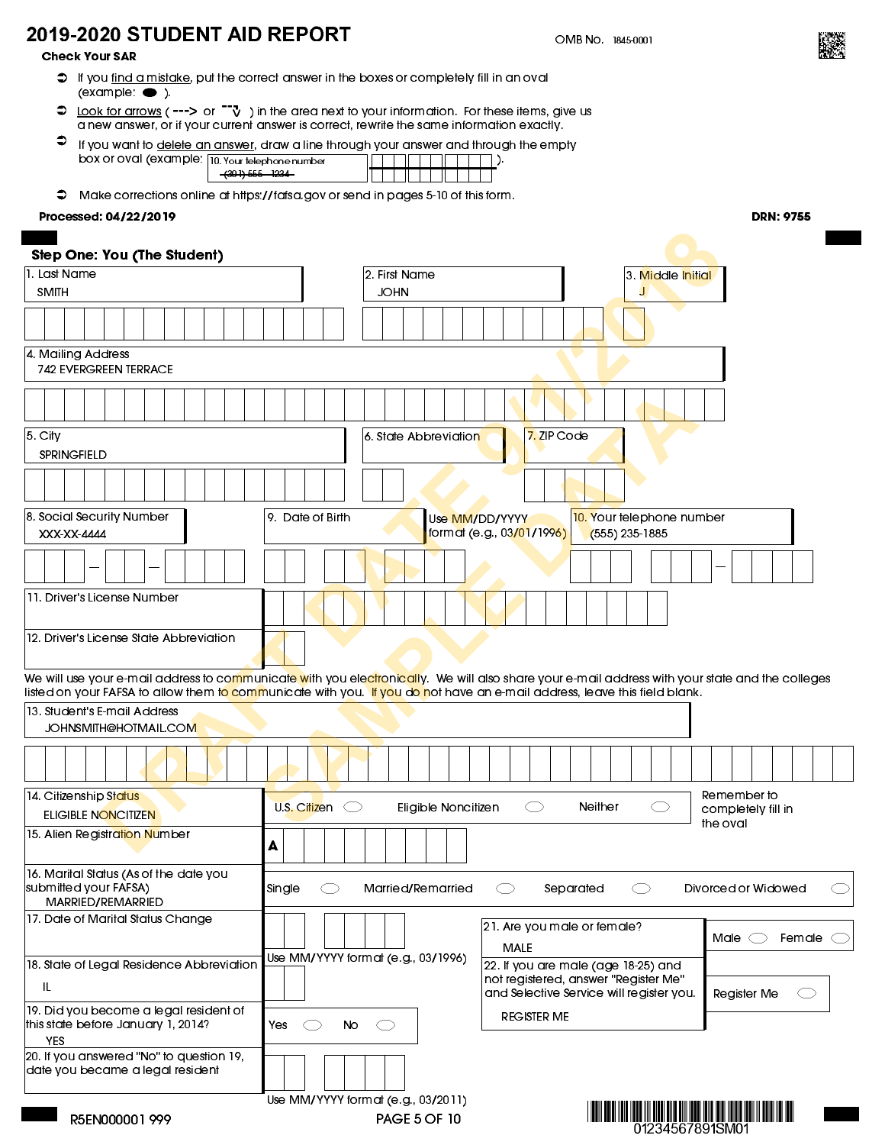# 2019-2020 STUDENT AID REPORT

Check Your SAR

- $\heartsuit$  If you <u>find a mistake</u>, put the correct answer in the boxes or completely fill in an oval  $\overline{\text{example}}$  ).
- Look for arrows (  $\rightarrow$  ) or  $\vec{v}$  ) in the area next to your information. For these items, give us  $\bullet$ a new answer, or if your current answer is correct, rewrite the same information exactly.
- $\bullet$ If you want to <u>delete an answer</u>, draw a line through your answer and through the empty<br>box or oval (example:  $\frac{100 \text{ Yout} + 100 \text{ Yout}}{100 \text{ Yout} + 100 \text{ Yout}}$  ... box or oval (example: 10. Your telephone number (301) 555 - 1234
- Make corrections online at [https://fafsa.gov](https://fafsa.ed.gov) or send in pages 5-10 of this form.

#### Processed: 04/22/2019

|                                                                                      | <del>(301) 555 - 1234 -</del><br>$\mathbf{H}$                                                                                                                                                |                                                                                                        |
|--------------------------------------------------------------------------------------|----------------------------------------------------------------------------------------------------------------------------------------------------------------------------------------------|--------------------------------------------------------------------------------------------------------|
| ∍                                                                                    | Make corrections online at https://fafsa.gov or send in pages 5-10 of this form.                                                                                                             |                                                                                                        |
| Processed: 04/22/2019                                                                |                                                                                                                                                                                              | <b>DRN: 9755</b>                                                                                       |
|                                                                                      |                                                                                                                                                                                              |                                                                                                        |
| <b>Step One: You (The Student)</b>                                                   |                                                                                                                                                                                              |                                                                                                        |
| 1. Last Name                                                                         | 2. First Name                                                                                                                                                                                | 3 Middle Initial                                                                                       |
| <b>SMITH</b>                                                                         | <b>JOHN</b>                                                                                                                                                                                  |                                                                                                        |
|                                                                                      |                                                                                                                                                                                              |                                                                                                        |
| 4. Mailing Address<br><b>742 EVERGREEN TERRACE</b>                                   |                                                                                                                                                                                              |                                                                                                        |
|                                                                                      |                                                                                                                                                                                              |                                                                                                        |
| 5. City                                                                              | 7. ZIP Code<br>6. State Abbreviation                                                                                                                                                         |                                                                                                        |
| <b>SPRINGFIELD</b>                                                                   |                                                                                                                                                                                              |                                                                                                        |
|                                                                                      |                                                                                                                                                                                              |                                                                                                        |
| 8. Social Security Number<br>XXX-XX-4444                                             | 10. Your telephone number<br>9. Date of Birth<br>Use MM/DD/YYYY<br>format (e.g., 03/01/1996)<br>(555) 235-1885                                                                               |                                                                                                        |
|                                                                                      |                                                                                                                                                                                              |                                                                                                        |
| 11. Driver's License Number                                                          |                                                                                                                                                                                              |                                                                                                        |
| 12. Driver's License State Abbreviation                                              |                                                                                                                                                                                              |                                                                                                        |
|                                                                                      | We will use your e-mail address to co <mark>m</mark> munica <mark>te w</mark> ith you ele <mark>ctronicall</mark> y. We will also share your e-mail address with your state and the colleges |                                                                                                        |
| 13. Student's E-mail Address<br>JOHNSMITH@HOTMAIL.COM                                | listed on your FAFSA to allow them t <mark>o comm</mark> unicate with you. <mark>If you do n</mark> ot have an e-mail address, leave this field blank.                                       |                                                                                                        |
|                                                                                      |                                                                                                                                                                                              |                                                                                                        |
| 14 Citizenship Status<br>ELIGIBLE NONCITIZEN                                         | Neither<br>U.S. Citizen $\subset$<br>Eligible Noncitizen<br>СD<br>СJ                                                                                                                         | Remember to<br>completely fill in                                                                      |
| 15. Alien Registration Number                                                        | A                                                                                                                                                                                            | the oval                                                                                               |
| 16. Marital Status (As of the date you<br>submitted your FAFSA)<br>MARRIED/REMARRIED | Married/Remarried<br>Separated<br>Single<br>C)<br>СD                                                                                                                                         | Divorced or Widowed                                                                                    |
| 17. Date of Marital Status Change                                                    | 21. Are you male or female?<br><b>MALE</b>                                                                                                                                                   | Male $\bigcirc$<br>Female (                                                                            |
| 18. State of Legal Residence Abbreviation<br>IL                                      | Use MM/YYYY format (e.g., 03/1996)<br>22. If you are male (age 18-25) and<br>not registered, answer "Register Me"                                                                            |                                                                                                        |
| 19. Did you become a legal resident of                                               | and Selective Service will register you.<br><b>REGISTER ME</b>                                                                                                                               | Register Me                                                                                            |
| this state before January 1, 2014?<br><b>YES</b>                                     | Yes<br>No<br>C.                                                                                                                                                                              |                                                                                                        |
| 20. If you answered "No" to question 19,<br>date you became a legal resident         |                                                                                                                                                                                              |                                                                                                        |
|                                                                                      | Use MM/YYYY format (e.g., 03/2011)                                                                                                                                                           | חבר הבנו הרוסם זה נוספו שהוסור וסוסו סווסו וסטום ונוס סוורס ומוכח ונוח סטום ונוספו שהוו וסוסם ונוספו ו |

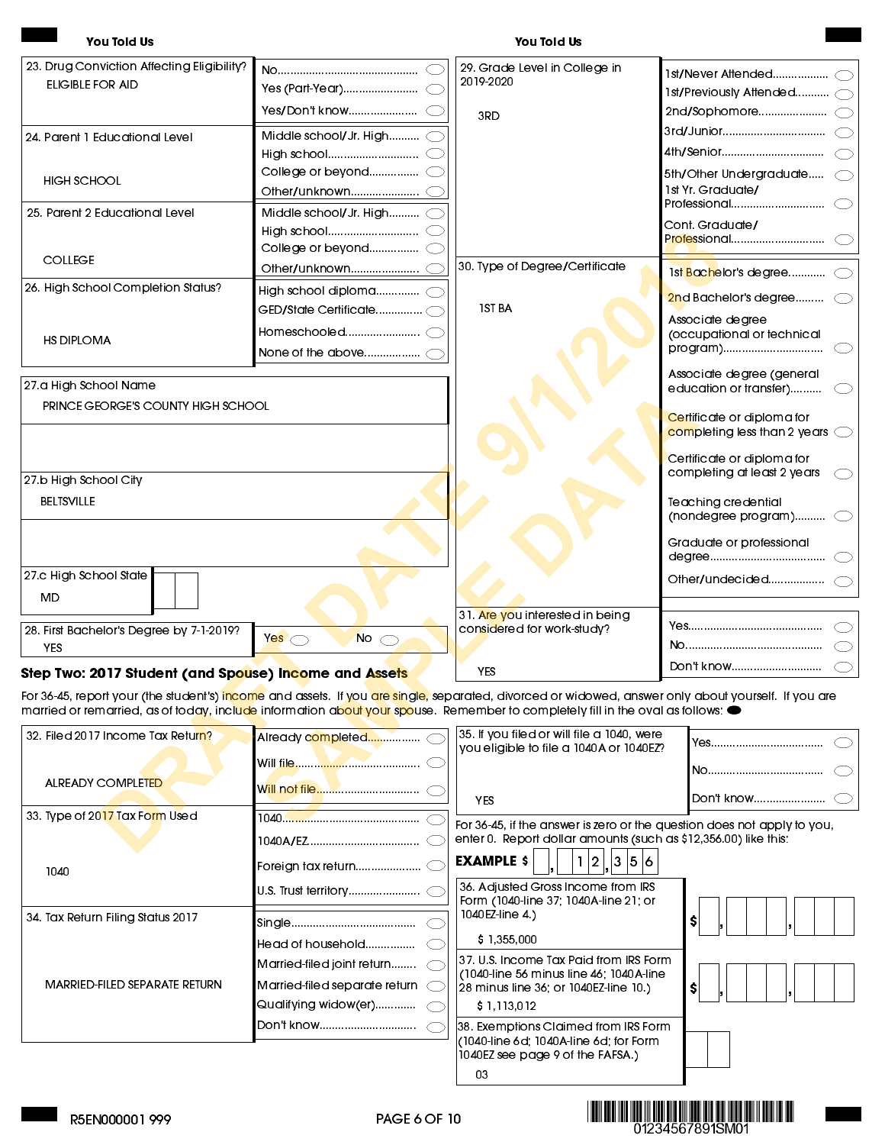#### You Told Us You Told Us

| 23. Drug Conviction Affecting Eligibility?                                                                                                                                                                                                                                                                                                     |                                 | 29. Grade Level in College in<br>2019-2020                                            |                                                                                |
|------------------------------------------------------------------------------------------------------------------------------------------------------------------------------------------------------------------------------------------------------------------------------------------------------------------------------------------------|---------------------------------|---------------------------------------------------------------------------------------|--------------------------------------------------------------------------------|
| ELIGIBLE FOR AID                                                                                                                                                                                                                                                                                                                               |                                 |                                                                                       | 1st/Previously Attended 0                                                      |
|                                                                                                                                                                                                                                                                                                                                                | Yes/Don't know(                 | 3RD                                                                                   |                                                                                |
| 24. Parent 1 Educational Level                                                                                                                                                                                                                                                                                                                 | Middle school/Jr. High C        |                                                                                       |                                                                                |
|                                                                                                                                                                                                                                                                                                                                                |                                 |                                                                                       | 4th/Senior                                                                     |
| <b>HIGH SCHOOL</b>                                                                                                                                                                                                                                                                                                                             | College or beyond C             |                                                                                       | 5th/Other Undergraduate                                                        |
|                                                                                                                                                                                                                                                                                                                                                |                                 |                                                                                       | 1st Yr. Graduate/                                                              |
| 25. Parent 2 Educational Level                                                                                                                                                                                                                                                                                                                 | Middle school/Jr. High (        |                                                                                       | Professional                                                                   |
|                                                                                                                                                                                                                                                                                                                                                |                                 |                                                                                       | Cont. Graduate/<br>Professional                                                |
|                                                                                                                                                                                                                                                                                                                                                |                                 |                                                                                       |                                                                                |
| <b>COLLEGE</b>                                                                                                                                                                                                                                                                                                                                 |                                 | 30. Type of Degree/Certificate                                                        | 1st <mark>Bach</mark> elor's degree(                                           |
| 26. High School Completion Status?                                                                                                                                                                                                                                                                                                             | High school diploma $\bigcirc$  | <b>IST BA</b>                                                                         | $2$ nd Bachelor's degree $\subset$                                             |
|                                                                                                                                                                                                                                                                                                                                                |                                 |                                                                                       | Associate degree                                                               |
| <b>HS DIPLOMA</b>                                                                                                                                                                                                                                                                                                                              |                                 |                                                                                       | (occupational or technical<br>program)                                         |
|                                                                                                                                                                                                                                                                                                                                                |                                 |                                                                                       |                                                                                |
| 27.a High School Name                                                                                                                                                                                                                                                                                                                          |                                 |                                                                                       | Associate degree (general<br>education or transfer)                            |
| PRINCE GEORGE'S COUNTY HIGH SCHOOL                                                                                                                                                                                                                                                                                                             |                                 |                                                                                       | Certificate or diploma for                                                     |
|                                                                                                                                                                                                                                                                                                                                                |                                 |                                                                                       | $\overline{\text{complex}}$ completing less than 2 years $\overline{\text{C}}$ |
|                                                                                                                                                                                                                                                                                                                                                |                                 |                                                                                       | Certificate or diploma for<br>completing at least 2 years                      |
| 27.b High School City                                                                                                                                                                                                                                                                                                                          |                                 |                                                                                       |                                                                                |
| <b>BELTSVILLE</b>                                                                                                                                                                                                                                                                                                                              |                                 |                                                                                       | Teaching credential<br>(nondegree program) $\subset$                           |
|                                                                                                                                                                                                                                                                                                                                                |                                 |                                                                                       | Graduate or professional                                                       |
| 27 c High School State                                                                                                                                                                                                                                                                                                                         |                                 |                                                                                       |                                                                                |
| MD                                                                                                                                                                                                                                                                                                                                             |                                 |                                                                                       |                                                                                |
|                                                                                                                                                                                                                                                                                                                                                |                                 | 31. Are you interested in being                                                       |                                                                                |
| 28. First Bachelor's Degree by 7-1-2019?                                                                                                                                                                                                                                                                                                       | No $\bigcirc$<br>Yes $\bigcirc$ | considered for work-study?                                                            |                                                                                |
| YES                                                                                                                                                                                                                                                                                                                                            |                                 |                                                                                       |                                                                                |
| Step Two: 2017 Student (and Spouse) Income and Assets                                                                                                                                                                                                                                                                                          |                                 | YES.                                                                                  | Don't know                                                                     |
| For 36-45, report your (the student's) i <mark>ncome</mark> and assets. If you <mark>are single,</mark> separated, divorced or widowed, answer only about yourself. If you are<br>married or remarried, as of today, incl <mark>ude</mark> information ab <mark>out your spo</mark> use. Remember to completely fill in the oval as follows: ● |                                 |                                                                                       |                                                                                |
| 32. Filed 2017 Income Tax Return?                                                                                                                                                                                                                                                                                                              |                                 | 35. If you filed or will file a 1040, were<br>you eligible to file a 1040A or 1040EZ? | Yes                                                                            |
|                                                                                                                                                                                                                                                                                                                                                |                                 |                                                                                       |                                                                                |
| <b>ALREADY COMPLETED</b>                                                                                                                                                                                                                                                                                                                       |                                 |                                                                                       |                                                                                |
|                                                                                                                                                                                                                                                                                                                                                | <u>Will not file</u>            | <b>YES</b>                                                                            | Don't know                                                                     |
| 33. Type of 2017 Tax Form Used                                                                                                                                                                                                                                                                                                                 |                                 | For 36-45, if the answer is zero or the question does not apply to you,               |                                                                                |
|                                                                                                                                                                                                                                                                                                                                                |                                 | enter 0. Report dollar amounts (such as \$12,356.00) like this:                       |                                                                                |

#### Step Two: 2017 Student (and Spouse) Income and Assets

|                                   |                               | married or remarried, as of loady, include information about your spouse. Remember to completely ill in the oval as follows: ● |            |
|-----------------------------------|-------------------------------|--------------------------------------------------------------------------------------------------------------------------------|------------|
| 32. Filed 2017 Income Tax Return? |                               | 35. If you filed or will file a 1040, were<br>you eligible to file a 1040A or 1040EZ?                                          |            |
|                                   |                               |                                                                                                                                |            |
| <b>ALREADY COMPLETED</b>          |                               | <b>YES</b>                                                                                                                     | Don't know |
| 33. Type of 2017 Tax Form Used    |                               |                                                                                                                                |            |
|                                   |                               | For 36-45, if the answer is zero or the question does not apply to you,                                                        |            |
|                                   |                               | enter 0. Report dollar amounts (such as \$12,356.00) like this:                                                                |            |
| 1040                              |                               | <b>EXAMPLE \$</b><br> 3 5 6<br>2                                                                                               |            |
|                                   |                               | 36. Adjusted Gross Income from IRS<br>Form (1040-line 37; 1040A-line 21; or                                                    |            |
| 34. Tax Return Filing Status 2017 |                               | 1040EZ-line 4)                                                                                                                 |            |
|                                   | Head of household             | \$1,355,000                                                                                                                    |            |
|                                   | Married-filed joint return    | 37. U.S. Income Tax Paid from IRS Form<br>(1040-line 56 minus line 46; 1040A-line                                              |            |
| MARRIED-FILED SEPARATE RETURN     | Married-filed separate return | 28 minus line 36; or 1040EZ-line 10.)                                                                                          |            |
|                                   | Qualifying widow(er)          | \$1,113,012                                                                                                                    |            |
|                                   | Don't know                    | 38. Exemptions Claimed from IRS Form                                                                                           |            |
|                                   |                               | (1040-line 6d; 1040A-line 6d; for Form<br>1040EZ see page 9 of the FAFSA.)                                                     |            |

03

**MINIMUS** 01234567891SM01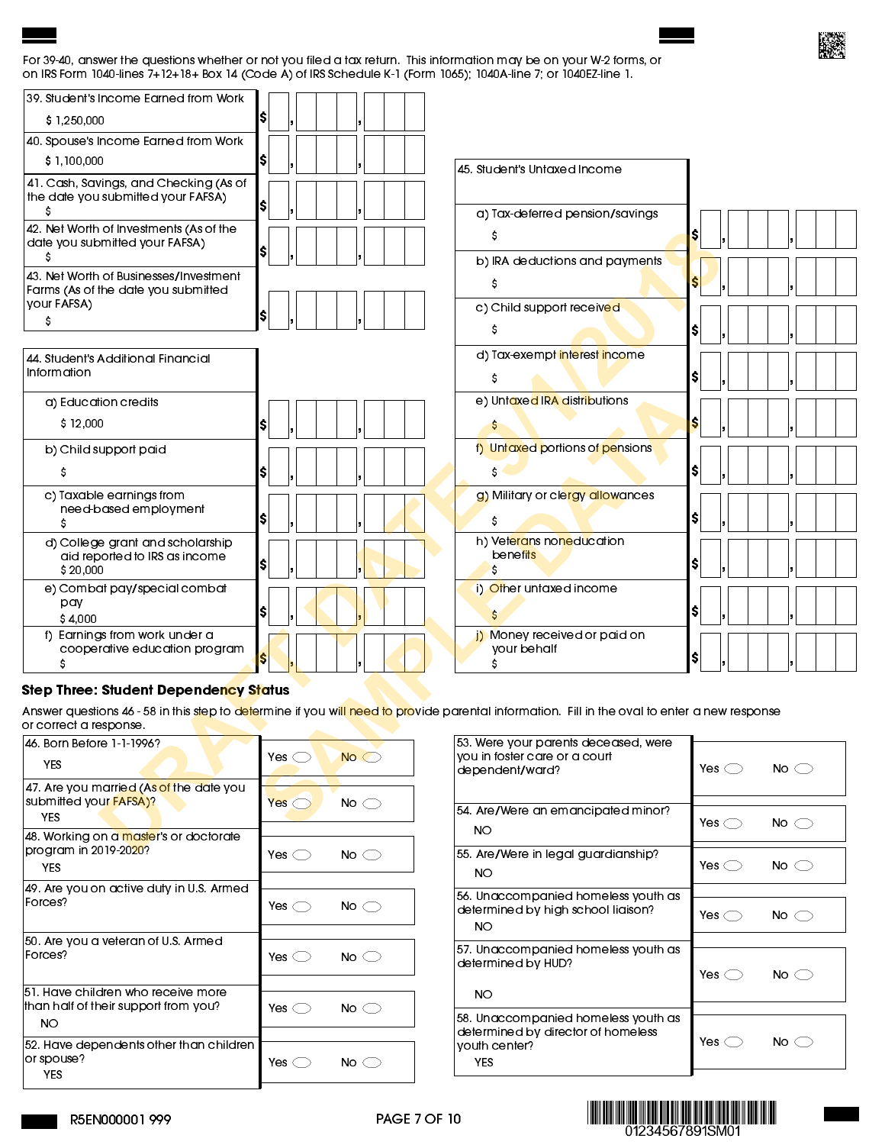#### For 39-40, answer the questions whether or not you filed a tax return. This information may be on your W-2 forms, or on IRS Form 1040-lines 7+12+18+ Box 14 (Code A) of IRS Schedule K-1 (Form 1065); 1040A-line 7; or 1040EZ-line 1.

| 39. Student's Income Earned from Work              |                                 |                                                                                                                                                                             |                                 |
|----------------------------------------------------|---------------------------------|-----------------------------------------------------------------------------------------------------------------------------------------------------------------------------|---------------------------------|
| \$1250,000                                         |                                 |                                                                                                                                                                             |                                 |
| 40. Spouse's Income Earned from Work               |                                 |                                                                                                                                                                             |                                 |
| \$1,100,000                                        | IS                              | 45. Student's Untaxed Income                                                                                                                                                |                                 |
| 41. Cash, Savings, and Checking (As of             |                                 |                                                                                                                                                                             |                                 |
| the date you submitted your FAFSA)<br>s            |                                 | a) Tax-deferred pension/savings                                                                                                                                             |                                 |
| 42. Net Worth of Investments (As of the            |                                 | s                                                                                                                                                                           | \$l                             |
| date you submitted your FAFSA)<br>s                | I\$                             | b) IRA deductions and payments                                                                                                                                              |                                 |
| 43. Net Worth of Businesses/Investment             |                                 | s                                                                                                                                                                           |                                 |
| Farms (As of the date you submitted                |                                 |                                                                                                                                                                             |                                 |
| your FAFSA)<br>Ş                                   | IS                              | c) Child support received                                                                                                                                                   |                                 |
|                                                    |                                 | s                                                                                                                                                                           | \$I                             |
| 44. Student's Additional Financial                 |                                 | d) Tax-exempt interest income                                                                                                                                               |                                 |
| Information                                        |                                 | s                                                                                                                                                                           | sı                              |
| a) Education credits                               |                                 | e) Untaxed IRA distributions                                                                                                                                                |                                 |
| \$12,000                                           | IS                              | $\mathsf{S}$                                                                                                                                                                | S                               |
| b) Child support paid                              |                                 | f) Untaxed portions of pensions                                                                                                                                             |                                 |
| s                                                  | s                               | s                                                                                                                                                                           | S.                              |
| c) Taxable earnings from                           |                                 | g) Military or clergy allowances                                                                                                                                            |                                 |
| need-based employment<br>S                         | IŞ.                             | \$                                                                                                                                                                          | SI.                             |
| d) College grant and scholarship                   |                                 | h) Veterans none ducation                                                                                                                                                   |                                 |
| aid reported to IRS as income                      | \$                              | <b>benefits</b>                                                                                                                                                             | S.                              |
| \$20,000                                           |                                 | S                                                                                                                                                                           |                                 |
| e) Combat pay/special combat<br>pay                |                                 | i) Other untaxed income                                                                                                                                                     |                                 |
| \$4,000                                            | I\$                             |                                                                                                                                                                             | s                               |
| f) Earnings from work under a                      |                                 | j) Money received or paid on                                                                                                                                                |                                 |
| cooperative education program<br>\$                |                                 | your behalf<br>s                                                                                                                                                            | SI.                             |
| <b>Step Three: Student Dependency Status</b>       |                                 |                                                                                                                                                                             |                                 |
|                                                    |                                 | Answer questions 46 - 58 in this step to d <mark>et</mark> ermine if you wi <mark>ll need to pro</mark> vide parental information. Fill in the oval to enter a new response |                                 |
| or correct a response.                             |                                 |                                                                                                                                                                             |                                 |
| 46. Born Before 1-1-1996?                          |                                 | 53. Were your parents deceased, were<br>you in foster care or a court                                                                                                       |                                 |
| <b>YES</b>                                         | No<br>Yes $\bigcirc$            | dependent/ward?                                                                                                                                                             | No $\bigcirc$<br>Yes $\bigcirc$ |
| 47. Are you married (As of the date you            |                                 |                                                                                                                                                                             |                                 |
| submitted you <mark>r FAFSA)?</mark><br><b>YES</b> | Yes $\bigcirc$<br>No $\bigcirc$ | 54. Are/Were an emancipated minor?                                                                                                                                          |                                 |
| 48. Working on a master's or doctorate             |                                 | <b>NO</b>                                                                                                                                                                   | No $\bigcirc$<br>Yes $\bigcirc$ |
| program in 2019-20 <mark>20</mark> 2.              |                                 | <b><i>Dilora in Joan augustanishin</i></b>                                                                                                                                  |                                 |

### Step Three: Student Dependency Status

| 46. Born Before 1-1-1996?<br>YES.                                                | Yes $\bigcirc$          | $No \subset$  |
|----------------------------------------------------------------------------------|-------------------------|---------------|
|                                                                                  |                         |               |
| 47. Are you married (As of the date you<br>submitted your <b>FAFSA</b> )?<br>YES | $Yes \subset$           | No $\subset$  |
| 48. Working on a master's or doctorate                                           |                         |               |
| program in 2019-2020?<br><b>YES</b>                                              | Yes $\bigcirc$          | No $\subset$  |
| 49. Are you on active duty in U.S. Armed                                         |                         |               |
| Forces?                                                                          | Yes $\bigcirc$          | No $\bigcirc$ |
|                                                                                  |                         |               |
| 50. Are you a veteran of U.S. Armed<br>Forces?                                   | Yes $\subset$ $\supset$ | No $\subset$  |
| 51. Have children who receive more                                               |                         |               |
| than half of their support from you?<br>NO.                                      | Yes $\bigcirc$          | No $\subset$  |
| 52. Have dependents other than children                                          |                         |               |
| or spouse?<br>YES                                                                | Yes $\subset$           | No $\subset$  |
|                                                                                  |                         |               |

| 53. Were your parents deceased, were<br>you in foster care or a court<br>dependent/ward?                 | Yes $\bigcirc$ | No $\subset$ |
|----------------------------------------------------------------------------------------------------------|----------------|--------------|
| 54. Are/Were an emancipated minor?<br><b>NO</b>                                                          | Yes $\bigcirc$ | No $\subset$ |
| 55 Are/Were in legal guardianship?<br>NΟ                                                                 | Yes $\bigcirc$ | No $\subset$ |
| 56. Unaccompanied homeless youth as<br>determined by high school liaison?<br>NO.                         | Yes $\bigcirc$ | No $\subset$ |
|                                                                                                          |                |              |
| 57 Unaccompanied homeless youth as<br>determined by HUD?<br>NO.                                          | Yes $\bigcirc$ | No $\subset$ |
|                                                                                                          |                |              |
| 58. Unaccompanied homeless youth as<br>determined by director of homeless<br>youth center?<br><b>YES</b> | Yes $\bigcirc$ | No $\subset$ |
|                                                                                                          |                |              |

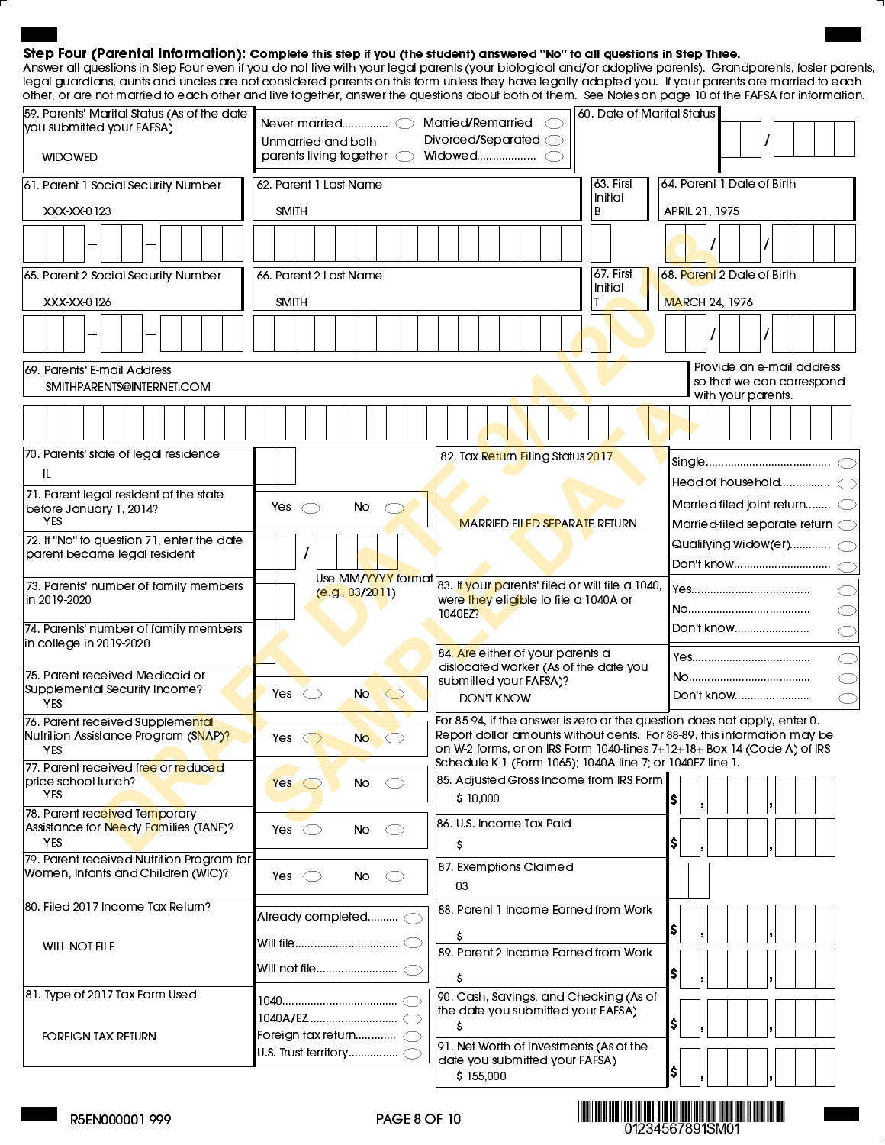#### Step Four (Parental Information): Complete this step if you (the student) answered "No" to all questions in Step Three.

Answer all questions in Step Four even if you do not live with your legal parents (your biological and/or adoptive parents). Grandparents, foster parents, legal guardians, aunts and uncles are not considered parents on this form unless they have legally adopted you. If your parents are married to each other, or are not married to each other and live together, answer the questions about both of them. See Notes on page 10 of the FAFSA for information.

| 59. Parents' Marital Status (As of the date<br>vou submitted your FAFSA)   | Never married $\bigcirc$                                              | Married/Remarried                                                                                    | 60. Date of Marital Status |                                                                                                                                                      |
|----------------------------------------------------------------------------|-----------------------------------------------------------------------|------------------------------------------------------------------------------------------------------|----------------------------|------------------------------------------------------------------------------------------------------------------------------------------------------|
|                                                                            | Unmarried and both                                                    | Divorced/Separated <                                                                                 |                            |                                                                                                                                                      |
| <b>WIDOWED</b>                                                             | parents living together $\bigcirc$                                    | Widowed                                                                                              |                            |                                                                                                                                                      |
| 61. Parent 1 Social Security Number                                        | 62. Parent 1 Last Name                                                |                                                                                                      | $63$ . First<br>Initial    | 64. Parent 1 Date of Birth                                                                                                                           |
| XXX-XX-0123                                                                | <b>SMITH</b>                                                          |                                                                                                      | B                          | APRIL 21, 1975                                                                                                                                       |
|                                                                            |                                                                       |                                                                                                      |                            |                                                                                                                                                      |
| 65. Parent 2 Social Security Number                                        | 66. Parent 2 Last Name                                                |                                                                                                      | 67. First<br>Initial       | 68. Parent 2 Date of Birth                                                                                                                           |
| XXX-XX-0126                                                                | <b>SMITH</b>                                                          |                                                                                                      |                            | <b>MARCH 24, 1976</b>                                                                                                                                |
|                                                                            |                                                                       |                                                                                                      |                            |                                                                                                                                                      |
| 69. Parents' E-mail Address<br>SMITHPARENTS@INTERNET.COM                   |                                                                       |                                                                                                      |                            | Provide an e-mail address<br>so that we can correspond<br>with your parents.                                                                         |
|                                                                            |                                                                       |                                                                                                      |                            |                                                                                                                                                      |
| 70. Parents' state of legal residence                                      |                                                                       | 82. Tax Return Filing Status 2017                                                                    |                            |                                                                                                                                                      |
| IL                                                                         |                                                                       |                                                                                                      |                            | Head of household $\bigcirc$                                                                                                                         |
| 71. Parent legal resident of the state<br>before January 1, 2014?          | Yes<br>No<br>$\subset$<br>$\left(\begin{array}{c} \end{array}\right)$ |                                                                                                      |                            | Married-filed joint return C                                                                                                                         |
| <b>YES</b>                                                                 |                                                                       | <b>MARRIED-FILED SEPARATE RETURN</b>                                                                 |                            | Married-filed separate return <                                                                                                                      |
| 72. If "No" to question 71, enter the date<br>parent became legal resident |                                                                       |                                                                                                      |                            | Qualifying widow(er) $\subset$                                                                                                                       |
|                                                                            |                                                                       |                                                                                                      |                            | Don't know                                                                                                                                           |
| 73. Parents' number of family members<br>in 2019-2020                      | Use MM/YYYY format<br>(e.g., 03/2011)                                 | 83. If your parents' filed or will file a 1040,<br>were they eligible to file a 1040A or             |                            |                                                                                                                                                      |
|                                                                            |                                                                       | 1040EZ?                                                                                              |                            |                                                                                                                                                      |
| 74. Parents' number of family members<br>in college in 2019-2020           |                                                                       |                                                                                                      |                            | Don't know                                                                                                                                           |
|                                                                            |                                                                       | 84. Are either of your parents a                                                                     |                            |                                                                                                                                                      |
| 75. Parent received Medicaid or<br>Supplemental Security Income?           |                                                                       | dislocated worker (As of the date you<br>submitted your FAFSA)?                                      |                            |                                                                                                                                                      |
| <b>YES</b>                                                                 | $\bigcirc$<br>No.<br>$\circlearrowright$<br>Yes                       | <b>DON'T KNOW</b>                                                                                    |                            | Don't know                                                                                                                                           |
| 76. Parent received Supplemental                                           |                                                                       |                                                                                                      |                            | For 85-94, if the answer is zero or the question does not apply, enter 0.<br>Report dollar amounts without cents. For 88-89, this information may be |
| Nutrition Assistance Program (SNAP)?<br>YES.                               | Yes<br>No.                                                            |                                                                                                      |                            | on W-2 forms, or on IRS Form 1040-lines 7+12+18+ Box 14 (Code A) of IRS                                                                              |
| 77. Parent received free or reduced                                        |                                                                       | Schedule K-1 (Form 1065); 1040A-line 7; or 1040EZ-line 1.<br>85. Adjusted Gross Income from IRS Form |                            |                                                                                                                                                      |
| price school lunch?<br>YES.                                                | No<br>$Yes \circ$<br>$\subset$ $\supset$                              | \$10,000                                                                                             |                            | \$                                                                                                                                                   |
| 78. Parent received Temporary                                              |                                                                       | 86. U.S. Income Tax Paid                                                                             |                            |                                                                                                                                                      |
| Assistance for Needy Families (TANF)?<br><b>YES</b>                        | No<br>Yes<br>$\subset$ $\supset$<br>- 10                              | s                                                                                                    |                            | \$                                                                                                                                                   |
| 79. Parent received Nutrition Program for                                  |                                                                       | 87. Exemptions Claimed                                                                               |                            |                                                                                                                                                      |
| Women, Infants and Children (WIC)?                                         | Yes $\bigcirc$<br>No<br>◯                                             | 03                                                                                                   |                            |                                                                                                                                                      |
| 80. Filed 2017 Income Tax Return?                                          |                                                                       | 88. Parent 1 Income Earned from Work                                                                 |                            |                                                                                                                                                      |
|                                                                            | Already completed <                                                   | S                                                                                                    |                            | \$                                                                                                                                                   |
| <b>WILL NOT FILE</b>                                                       |                                                                       | 89. Parent 2 Income Earned from Work                                                                 |                            |                                                                                                                                                      |
|                                                                            |                                                                       | S                                                                                                    |                            | \$                                                                                                                                                   |
| 81. Type of 2017 Tax Form Used                                             |                                                                       | 90. Cash, Savings, and Checking (As of                                                               |                            |                                                                                                                                                      |
|                                                                            |                                                                       | the date you submitted your FAFSA)<br>S                                                              |                            | \$                                                                                                                                                   |
| <b>FOREIGN TAX RETURN</b>                                                  | Foreign tax return $\subset$                                          | 91. Net Worth of Investments (As of the                                                              |                            |                                                                                                                                                      |
|                                                                            | U.S. Trust territory…………… $\subset$                                   | date you submitted your FAFSA)                                                                       |                            |                                                                                                                                                      |
|                                                                            |                                                                       | \$155,000                                                                                            |                            | \$                                                                                                                                                   |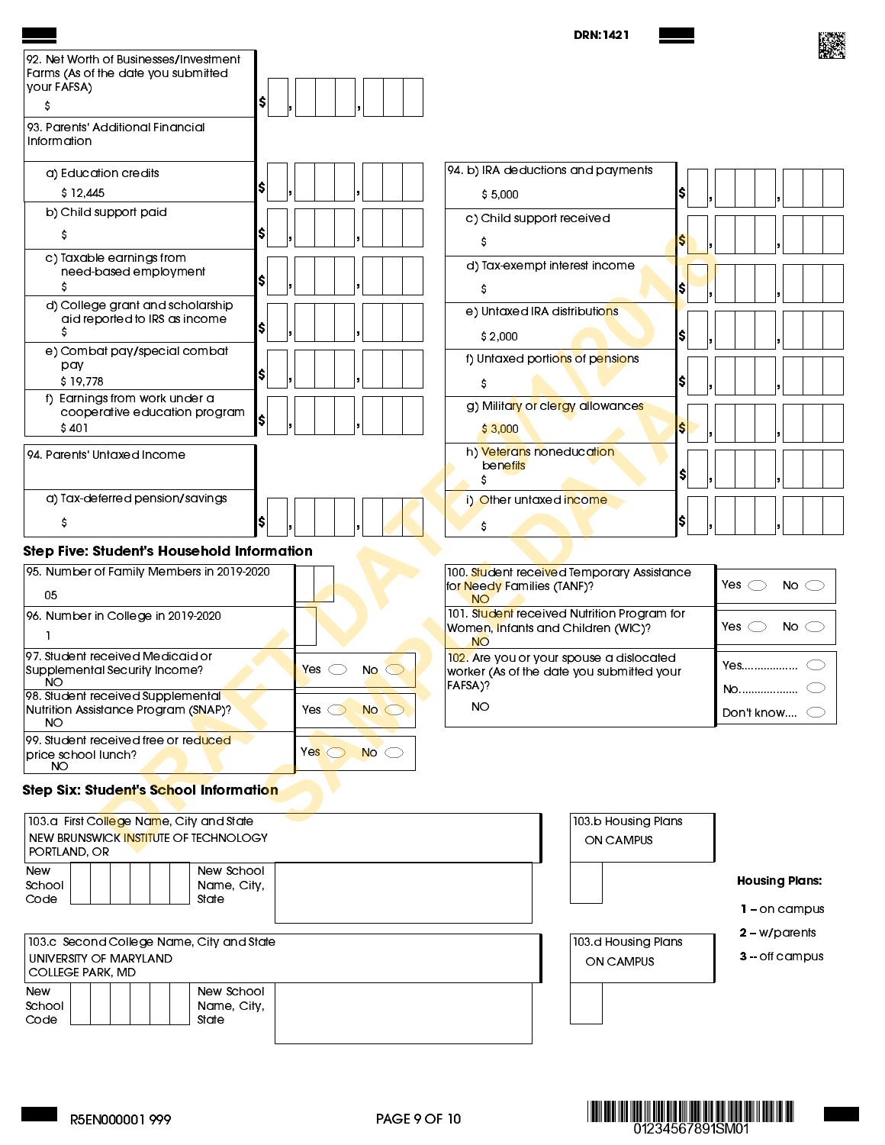|                                                                                                   |                                | <b>DRN:1421</b>                                                                                |                                 |
|---------------------------------------------------------------------------------------------------|--------------------------------|------------------------------------------------------------------------------------------------|---------------------------------|
| 92. Net Worth of Businesses/Investment<br>Farms (As of the date you submitted<br>your FAFSA)      |                                |                                                                                                |                                 |
| \$ <br>s<br>93. Parents' Additional Financial                                                     |                                |                                                                                                |                                 |
| Information                                                                                       |                                |                                                                                                |                                 |
| a) Education credits<br>SI                                                                        |                                | 94. b) IRA deductions and payments                                                             |                                 |
| \$12,445                                                                                          |                                | I\$<br>\$5,000                                                                                 |                                 |
| b) Child support paid<br>s                                                                        |                                | c) Child support received<br>s<br>s                                                            |                                 |
| c) Taxable earnings from<br>need-based employment<br>SI                                           |                                | d) Tax-exempt interest income                                                                  |                                 |
| d) College grant and scholarship                                                                  |                                | S<br>Ş                                                                                         |                                 |
| aid reported to IRS as income<br>SI<br>s                                                          |                                | e) Untaxed IRA distributions<br>I\$<br>\$2,000                                                 |                                 |
| e) Combat pay/special combat<br>pay                                                               |                                | f) Untaxed portions of pensions                                                                |                                 |
| \$I<br>\$19,778                                                                                   |                                | \$<br>s                                                                                        |                                 |
| f) Earnings from work under a<br>cooperative education program                                    |                                | g) Military or clergy allowances                                                               |                                 |
| \$401                                                                                             |                                | \$3,000<br>S                                                                                   |                                 |
| 94. Parents' Untaxed Income                                                                       |                                | h) Veterans noneducation<br>benefits<br>\$I                                                    |                                 |
| a) Tax-deferred pension/savings                                                                   |                                | i) Other untaxed income                                                                        |                                 |
| s                                                                                                 |                                | \$<br>Ş                                                                                        |                                 |
| Step Five: Student's Household Information                                                        |                                |                                                                                                |                                 |
| 95. Number of Family Members in 2019-2020                                                         |                                | 100. Student received Temporary Assistance<br>for Needy Families (TANF)?                       | Yes $\bigcirc$<br>No $\bigcirc$ |
| 05                                                                                                |                                | <b>NO</b>                                                                                      |                                 |
| 96. Number in College in 2019-2020                                                                |                                | 101. Student received Nutrition Program for<br>Women, Infants and Children (WIC)?<br><b>NO</b> | Yes $\bigcirc$<br>No $\bigcirc$ |
| 97. Student received Medicaid or<br>Supplemental Security Income?                                 | Yes<br><b>No</b>               | 102. Are you or your spouse a dislocated<br>worker (As of the date you submitted your          | Yes                             |
| NU.<br>98. Student received Supplemental                                                          |                                | FAFSA)?                                                                                        | No(                             |
| Nutrition Assistance Program (SNAP)?<br><b>NO</b>                                                 | No<br>Yes $\bigcirc$           | <b>NO</b>                                                                                      | Don't know                      |
| 99. Student received free or reduced<br>price school lunch?<br>NO                                 | Yes $\bigcirc$<br>$No \subset$ |                                                                                                |                                 |
| Step Six: Student's School Information                                                            |                                |                                                                                                |                                 |
| 103.a First College Name, City and State<br>NEW BRUNSWICK INSTITUTE OF TECHNOLOGY<br>PORTLAND, OR |                                | 103 b Housing Plans<br>ON CAMPUS                                                               |                                 |
| New School<br>New<br>School<br>Name, City,                                                        |                                |                                                                                                | <b>Housing Plans:</b>           |
| Code<br>State                                                                                     |                                |                                                                                                | $1 -$ on campus                 |
|                                                                                                   |                                |                                                                                                | $2 - w$ /parents                |
| 103.c Second College Name, City and State<br>UNIVERSITY OF MARYLAND<br><b>COLLEGE PARK, MD</b>    |                                | 103 d Housing Plans<br>ON CAMPUS                                                               | $3 -$ off campus                |
| New School<br>New                                                                                 |                                |                                                                                                |                                 |
| School<br>Name, City,<br>Code<br>State                                                            |                                |                                                                                                |                                 |





 $\overline{\phantom{a}}$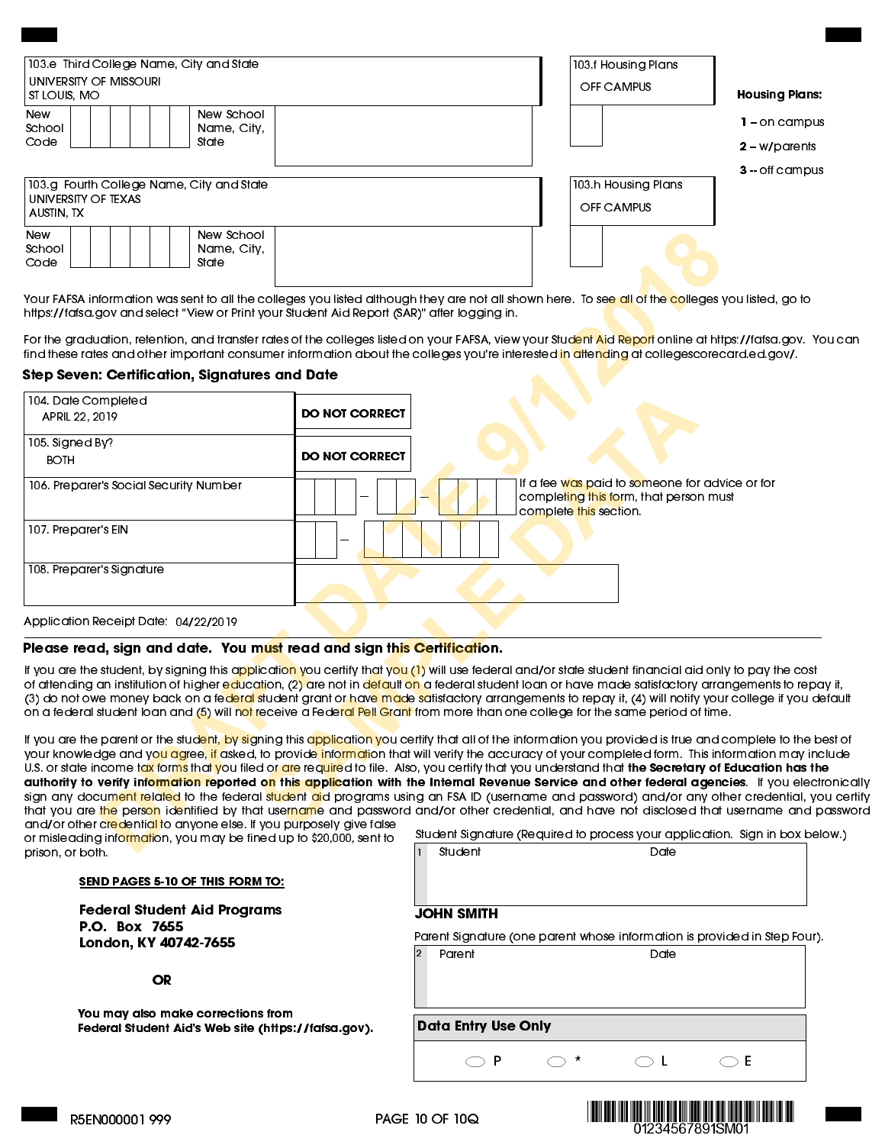| university of Missouri<br>ST LOUIS, MO | 103.e Third College Name, City and State  | 103.f Housing Plans<br>OFF CAMPUS | <b>Housing Plans:</b>                                 |
|----------------------------------------|-------------------------------------------|-----------------------------------|-------------------------------------------------------|
| <b>New</b><br>School<br>Code           | New School<br>Name, City,<br>State        |                                   | 1 – on campus<br>$2 - w$ /parents<br>$3 -$ off campus |
| UNIVERSITY OF TEXAS<br>AUSTIN TX       | 103.g Fourth College Name, City and State | 103 h Housing Plans<br>OFF CAMPUS |                                                       |
| <b>New</b><br>School<br>Code           | New School<br>Name, City,<br>State        |                                   |                                                       |

For the graduation, retention, and transfer rates of the colleges listed on your FAFSA, view your Stud<mark>ent Aid Report</mark> online at [https://fafsa.gov.](https://fafsa.gov) You can find these rates and other important consumer information about the colleges you're interested in attending at [collegescorecard.ed.gov/.](https://collegescorecard.ed.gov/)

#### Step Seven: Certification, Signatures and Date

| New School<br><b>New</b><br>School<br>Name, City,<br>Code<br>State                           |                                                                                                                                                                                                                                                                                                                                                                                                                                                                                                                                                                                                                                                                                                                                                                                                                                                                                                                                                                                                        |
|----------------------------------------------------------------------------------------------|--------------------------------------------------------------------------------------------------------------------------------------------------------------------------------------------------------------------------------------------------------------------------------------------------------------------------------------------------------------------------------------------------------------------------------------------------------------------------------------------------------------------------------------------------------------------------------------------------------------------------------------------------------------------------------------------------------------------------------------------------------------------------------------------------------------------------------------------------------------------------------------------------------------------------------------------------------------------------------------------------------|
| https://fafsa.gov and select "View or Print your Student Aid Report (SAR)" after logging in. | Your FAFSA information was sent to all the colleges you listed although they are not all shown here. To see all of the colleges you listed, go to                                                                                                                                                                                                                                                                                                                                                                                                                                                                                                                                                                                                                                                                                                                                                                                                                                                      |
|                                                                                              | For the graduation, retention, and transfer rates of the colleges listed on your FAFSA, view your Stud <mark>ent Aid Report</mark> online at https://fafsa.gov.<br>find these rates and other important consumer information about the colleges you're interested in attending at collegescorecard.ed.gov/.                                                                                                                                                                                                                                                                                                                                                                                                                                                                                                                                                                                                                                                                                            |
| Step Seven: Certification, Signatures and Date                                               |                                                                                                                                                                                                                                                                                                                                                                                                                                                                                                                                                                                                                                                                                                                                                                                                                                                                                                                                                                                                        |
| 104 Date Completed<br>APRIL 22, 2019                                                         | <b>DO NOT CORRECT</b>                                                                                                                                                                                                                                                                                                                                                                                                                                                                                                                                                                                                                                                                                                                                                                                                                                                                                                                                                                                  |
| 105. Signed By?                                                                              |                                                                                                                                                                                                                                                                                                                                                                                                                                                                                                                                                                                                                                                                                                                                                                                                                                                                                                                                                                                                        |
| <b>BOTH</b>                                                                                  | <b>DO NOT CORRECT</b>                                                                                                                                                                                                                                                                                                                                                                                                                                                                                                                                                                                                                                                                                                                                                                                                                                                                                                                                                                                  |
| 106. Preparer's Social Security Number                                                       | If a fee was paid to someone for advice or for<br>completing this form, that person must<br>complete this section.                                                                                                                                                                                                                                                                                                                                                                                                                                                                                                                                                                                                                                                                                                                                                                                                                                                                                     |
| 107. Preparer's EIN                                                                          |                                                                                                                                                                                                                                                                                                                                                                                                                                                                                                                                                                                                                                                                                                                                                                                                                                                                                                                                                                                                        |
| 108. Preparer's Signature                                                                    |                                                                                                                                                                                                                                                                                                                                                                                                                                                                                                                                                                                                                                                                                                                                                                                                                                                                                                                                                                                                        |
| Application Receipt Date: 04/22/2019                                                         |                                                                                                                                                                                                                                                                                                                                                                                                                                                                                                                                                                                                                                                                                                                                                                                                                                                                                                                                                                                                        |
| Please read, sign and date. You must read and sign this Certification.                       |                                                                                                                                                                                                                                                                                                                                                                                                                                                                                                                                                                                                                                                                                                                                                                                                                                                                                                                                                                                                        |
|                                                                                              | If you are the student, by signing this a <mark>pp</mark> licati <mark>on y</mark> ou certify that y <mark>ou (1)</mark> will use federal and/or state student financial aid only to pay the cos<br>of attending an institution of higher education, (2) are not in default on a federal student loan or have made satisfactory arrangements to rep<br>(3) do not owe money back on a fe <mark>deral s</mark> tudent grant or hav <mark>e ma</mark> de satisfactory arrangements to repay it, (4) will notify your college if you <sub>'</sub><br>on a federal student loan and (5) will not receive a Federal Pell Grant from more than one college for the same period of time.                                                                                                                                                                                                                                                                                                                      |
| and/or other credential to anyone else. If you purposely give false                          | If you are the parent or the stud <mark>ent, by si</mark> gning this application you certify that all of the information you provided is true and complete to the<br>your knowledge and yo <mark>u ag</mark> ree <mark>, if</mark> asked, to provide <mark>informat</mark> ion that will verify the accuracy of your completed form. This information may ir<br>U.S. or state income tax forms that you filed or are required to file. Also, you certify that you understand that <b>the Secretary of Education has t</b><br>authority to verify information reported o <mark>n</mark> this application with the Internal Revenue Service and other federal agencies. If you elee<br>sign any docum <mark>ent related</mark> to the federal <mark>student ai</mark> d programs using an FSA ID (username and password) and/or any other credential, <sub>)</sub><br>that you are the person identified by that username and password and/or other credential, and have not disclosed that username and |
| or misleading information, you may be fined up to \$20,000, sent to<br>prison or both        | Student Signature (Required to process your application. Sign in box b<br><b>Student</b><br>Dot≏                                                                                                                                                                                                                                                                                                                                                                                                                                                                                                                                                                                                                                                                                                                                                                                                                                                                                                       |
|                                                                                              |                                                                                                                                                                                                                                                                                                                                                                                                                                                                                                                                                                                                                                                                                                                                                                                                                                                                                                                                                                                                        |

#### Please read, sign and date. You must read and sign this Certification.

If you are the student, by signing this application you certify that you (1) will use federal and/or state student financial aid only to pay the cost of attending an institution of higher education, (2) are not in default on a federal student loan or have made satisfactory arrangements to repay it, (3) do not owe money back on a fe<mark>deral s</mark>tudent grant or have made satisfactory arrangements to repay it, (4) will notify your college if you default on a federal student loan and (5) will <mark>not</mark> receive a Fede<mark>ral Pell Grant</mark> from more than one college for the same period of time.

If you are the parent or the stud<mark>ent, by si</mark>gning this application you certify that all of the information you provided is true and complete to the best of your knowledge and yo<mark>u ag</mark>ree, if asked, to provide <mark>informati</mark>on that will verify the accuracy of your completed form. This information may include U.S. or state income tax forms that you filed or are required to file. Also, you certify that you understand that the Secretary of Education has the authority to verify information reported on this application with the Internal Revenue Service and other federal agencies. If you electronically sign any docum<mark>ent related</mark> to the federal student aid programs using an FSA ID (username and password) and/or any other credential, you certify that you are the person identified by that username and password and/or other credential, and have not disclosed that username and password and/or other credential to anyone else. If you purposely give false

or misleading information, you may be fined up to \$20,000, sent to prison, or both.

|  |            | Student Signature (Required to process your application. Sign in box below.) |
|--|------------|------------------------------------------------------------------------------|
|  | lı Student | Date                                                                         |

| SEND PAGES 5-10 OF THIS FORM TO: |
|----------------------------------|
|----------------------------------|

Federal Student Aid Programs P.O. Box 7655 London, KY 40742-7655

OR

You may also make corrections from Federal Student Aid's Web site [\(https://fafsa.gov\)](https://fafsa.gov).

| JOHN SMITH |  |
|------------|--|
|------------|--|

|          | Parent Signature (one parent whose information is provided in Step Four). |  |
|----------|---------------------------------------------------------------------------|--|
| 2 Parent | Date                                                                      |  |

Data Entry Use Only



P  $\bigcirc$  \*  $\bigcirc$  L  $\bigcirc$  E  $\bigcup$